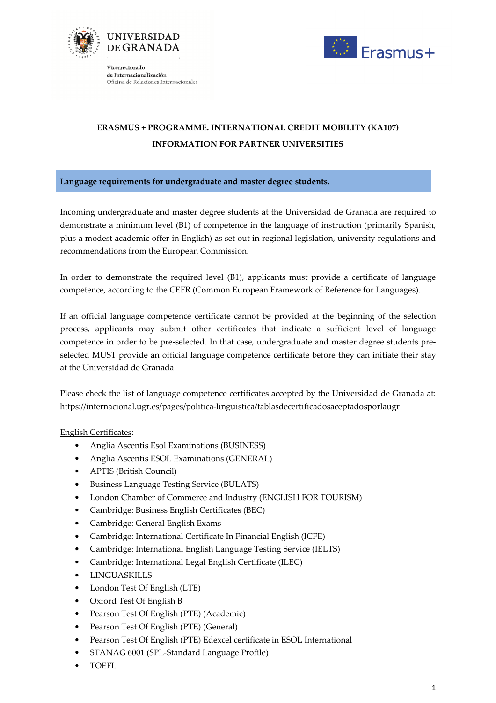



Vicerrectorado de Internacionalización Oficina de Relaciones Internacionales

## ERASMUS + PROGRAMME. INTERNATIONAL CREDIT MOBILITY (KA107) INFORMATION FOR PARTNER UNIVERSITIES

## Language requirements for undergraduate and master degree students.

Incoming undergraduate and master degree students at the Universidad de Granada are required to demonstrate a minimum level (B1) of competence in the language of instruction (primarily Spanish, plus a modest academic offer in English) as set out in regional legislation, university regulations and recommendations from the European Commission.

In order to demonstrate the required level (B1), applicants must provide a certificate of language competence, according to the CEFR (Common European Framework of Reference for Languages).

If an official language competence certificate cannot be provided at the beginning of the selection process, applicants may submit other certificates that indicate a sufficient level of language competence in order to be pre-selected. In that case, undergraduate and master degree students preselected MUST provide an official language competence certificate before they can initiate their stay at the Universidad de Granada.

Please check the list of language competence certificates accepted by the Universidad de Granada at: https://internacional.ugr.es/pages/politica-linguistica/tablasdecertificadosaceptadosporlaugr

## English Certificates:

- Anglia Ascentis Esol Examinations (BUSINESS)
- Anglia Ascentis ESOL Examinations (GENERAL)
- APTIS (British Council)
- Business Language Testing Service (BULATS)
- London Chamber of Commerce and Industry (ENGLISH FOR TOURISM)
- Cambridge: Business English Certificates (BEC)
- Cambridge: General English Exams
- Cambridge: International Certificate In Financial English (ICFE)
- Cambridge: International English Language Testing Service (IELTS)
- Cambridge: International Legal English Certificate (ILEC)
- LINGUASKILLS
- London Test Of English (LTE)
- Oxford Test Of English B
- Pearson Test Of English (PTE) (Academic)
- Pearson Test Of English (PTE) (General)
- Pearson Test Of English (PTE) Edexcel certificate in ESOL International
- STANAG 6001 (SPL-Standard Language Profile)
- TOEFL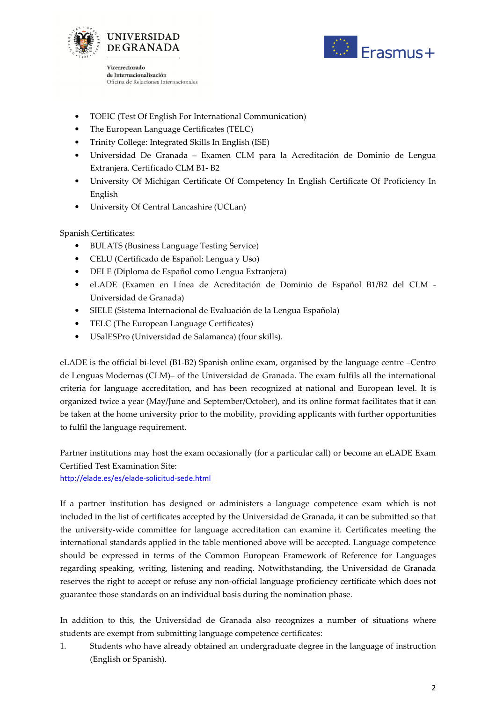



Vicerrectorado de Internacionalización Oficina de Relaciones Internacionales

- TOEIC (Test Of English For International Communication)
- The European Language Certificates (TELC)
- Trinity College: Integrated Skills In English (ISE)
- Universidad De Granada Examen CLM para la Acreditación de Dominio de Lengua Extranjera. Certificado CLM B1- B2
- University Of Michigan Certificate Of Competency In English Certificate Of Proficiency In English
- University Of Central Lancashire (UCLan)

## Spanish Certificates:

- BULATS (Business Language Testing Service)
- CELU (Certificado de Español: Lengua y Uso)
- DELE (Diploma de Español como Lengua Extranjera)
- eLADE (Examen en Línea de Acreditación de Dominio de Español B1/B2 del CLM Universidad de Granada)
- SIELE (Sistema Internacional de Evaluación de la Lengua Española)
- TELC (The European Language Certificates)
- USalESPro (Universidad de Salamanca) (four skills).

eLADE is the official bi-level (B1-B2) Spanish online exam, organised by the language centre –Centro de Lenguas Modernas (CLM)– of the Universidad de Granada. The exam fulfils all the international criteria for language accreditation, and has been recognized at national and European level. It is organized twice a year (May/June and September/October), and its online format facilitates that it can be taken at the home university prior to the mobility, providing applicants with further opportunities to fulfil the language requirement.

Partner institutions may host the exam occasionally (for a particular call) or become an eLADE Exam Certified Test Examination Site:

http://elade.es/es/elade-solicitud-sede.html

If a partner institution has designed or administers a language competence exam which is not included in the list of certificates accepted by the Universidad de Granada, it can be submitted so that the university-wide committee for language accreditation can examine it. Certificates meeting the international standards applied in the table mentioned above will be accepted. Language competence should be expressed in terms of the Common European Framework of Reference for Languages regarding speaking, writing, listening and reading. Notwithstanding, the Universidad de Granada reserves the right to accept or refuse any non-official language proficiency certificate which does not guarantee those standards on an individual basis during the nomination phase.

In addition to this, the Universidad de Granada also recognizes a number of situations where students are exempt from submitting language competence certificates:

1. Students who have already obtained an undergraduate degree in the language of instruction (English or Spanish).